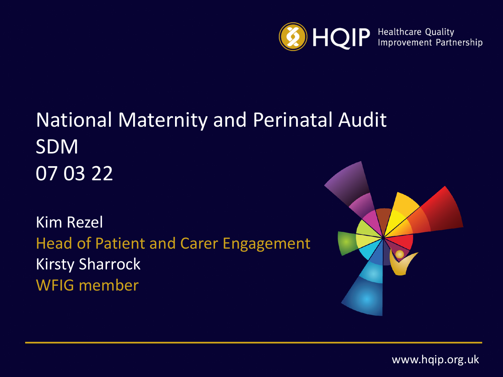

### National Maternity and Perinatal Audit SDM 07 03 22

Kim Rezel Head of Patient and Carer Engagement Kirsty Sharrock WFIG member



www.hqip.org.uk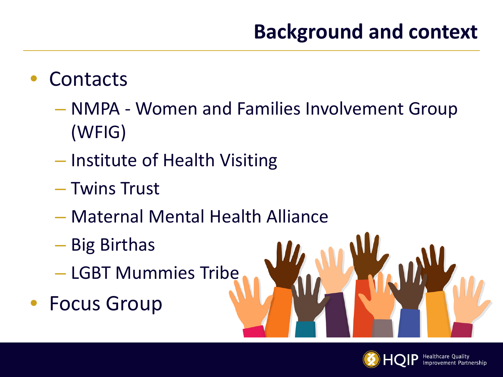## **Background and context**

#### **Contacts**

- NMPA Women and Families Involvement Group (WFIG)
- Institute of Health Visiting
- Twins Trust
- Maternal Mental Health Alliance
- Big Birthas
- LGBT Mummies Tribe
- Focus Group

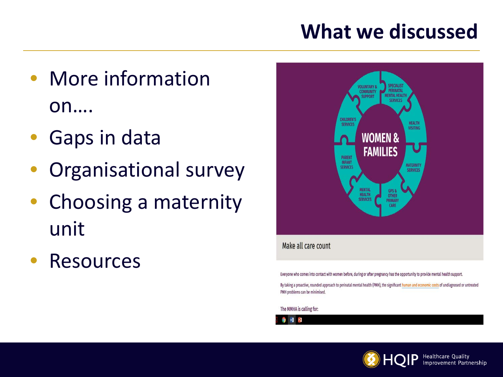### **What we discussed**

- More information on….
- Gaps in data
- Organisational survey
- Choosing a maternity unit
- Resources



Everyone who comes into contact with women before, during or after pregnancy has the opportunity to provide mental health support.

By taking a proactive, rounded approach to perinatal mental health (PMH), the significant human and economic costs of undiagnosed or untreated PMH problems can be minimised

The MMHA is calling for:



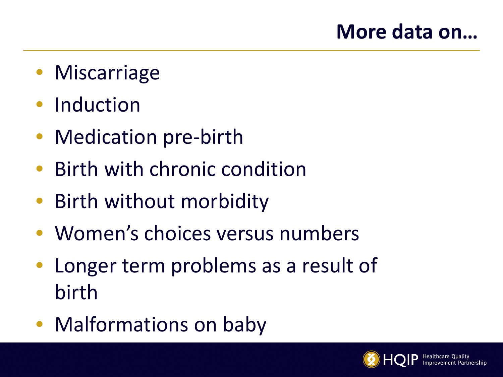- Miscarriage
- Induction
- Medication pre-birth
- Birth with chronic condition
- Birth without morbidity
- Women's choices versus numbers
- Longer term problems as a result of birth
- Malformations on baby

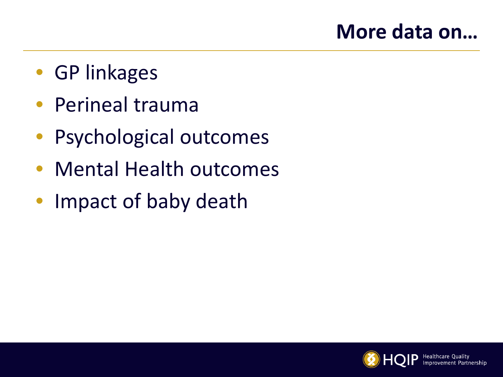#### **More data on…**

- GP linkages
- Perineal trauma
- Psychological outcomes
- Mental Health outcomes
- Impact of baby death

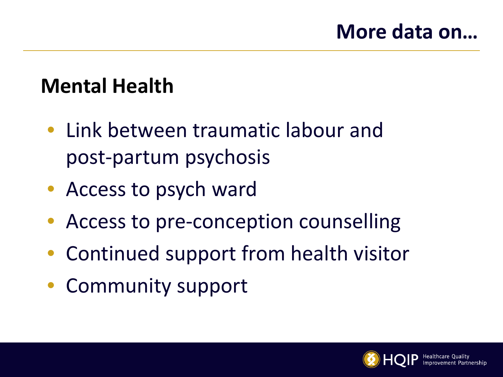### **Mental Health**

- Link between traumatic labour and post-partum psychosis
- Access to psych ward
- Access to pre-conception counselling
- Continued support from health visitor
- Community support

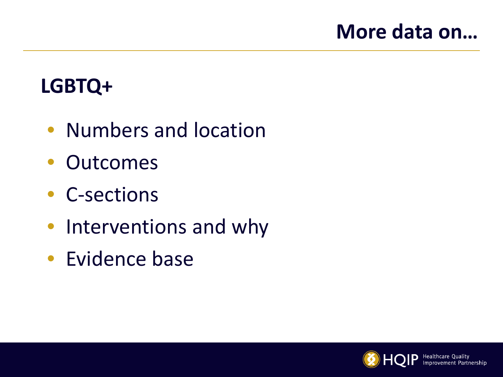#### **More data on…**

## **LGBTQ+**

- Numbers and location
- Outcomes
- C-sections
- Interventions and why
- Evidence base

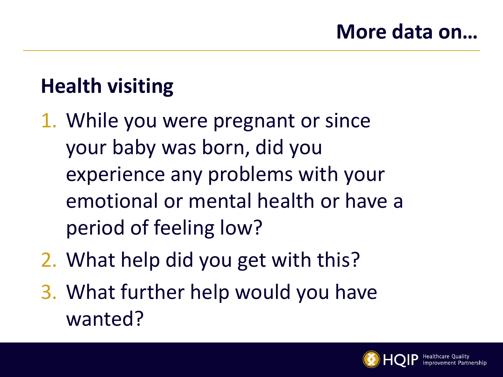## **Health visiting**

- 1. While you were pregnant or since your baby was born, did you experience any problems with your emotional or mental health or have a period of feeling low?
- 2. What help did you get with this?
- 3. What further help would you have wanted?

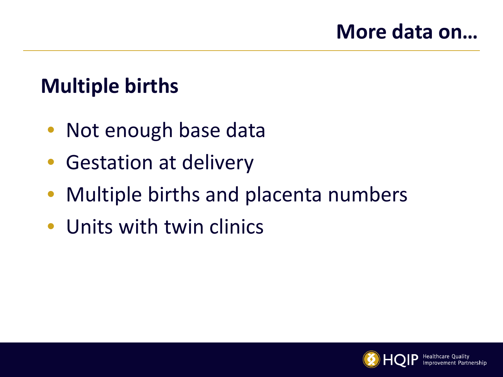## **Multiple births**

- Not enough base data
- Gestation at delivery
- Multiple births and placenta numbers
- Units with twin clinics

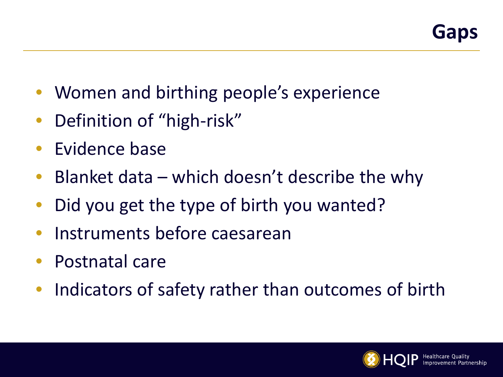- Women and birthing people's experience
- Definition of "high-risk"
- Evidence base
- Blanket data which doesn't describe the why
- Did you get the type of birth you wanted?
- Instruments before caesarean
- Postnatal care
- Indicators of safety rather than outcomes of birth

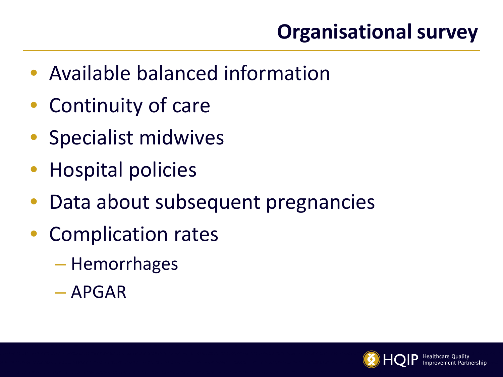# **Organisational survey**

- Available balanced information
- Continuity of care
- Specialist midwives
- Hospital policies
- Data about subsequent pregnancies
- Complication rates
	- Hemorrhages
	- APGAR

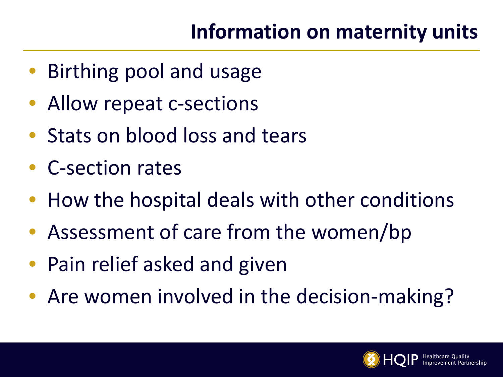## **Information on maternity units**

- Birthing pool and usage
- Allow repeat c-sections
- Stats on blood loss and tears
- C-section rates
- How the hospital deals with other conditions
- Assessment of care from the women/bp
- Pain relief asked and given
- Are women involved in the decision-making?

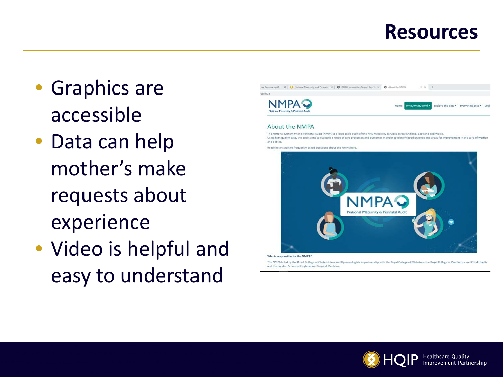- Graphics are accessible
- Data can help mother's make requests about experience
- Video is helpful and easy to understand



Who is responsible for the NMPA?

The NMPA is led by the Royal College of Obstetricians and Gynaecologists in partnership with the Royal College of Midwives, the Royal College of Paediatrics and Child Health and the London School of Hygiene and Tropical Medicine

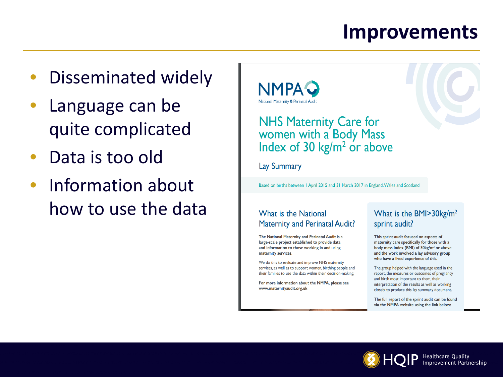#### **Improvements**

- Disseminated widely
- Language can be quite complicated
- Data is too old
- Information about how to use the data



#### **NHS Maternity Care for** women with a Body Mass Index of 30  $\text{kg/m}^2$  or above

**Lay Summary** 

Based on births between 1 April 2015 and 31 March 2017 in England, Wales and Scotland

#### What is the National **Maternity and Perinatal Audit?**

The National Maternity and Perinatal Audit is a large-scale project established to provide data and information to those working in and using maternity services.

We do this to evaluate and improve NHS maternity services, as well as to support women, birthing people and their families to use the data within their decision-making.

For more information about the NMPA, please see www.maternityaudit.org.uk

#### What is the BMI>30kg/m<sup>2</sup> sprint audit?

This sprint audit focused on aspects of maternity care specifically for those with a body mass index (BMI) of 30kg/m<sup>2</sup> or above and the work involved a lay advisory group who have a lived experience of this.

The group helped with the language used in the report, the measures or outcomes of pregnancy and birth most important to them, their interpretation of the results as well as working closely to produce this lay summary document.

The full report of the sprint audit can be found via the NMPA website using the link below:

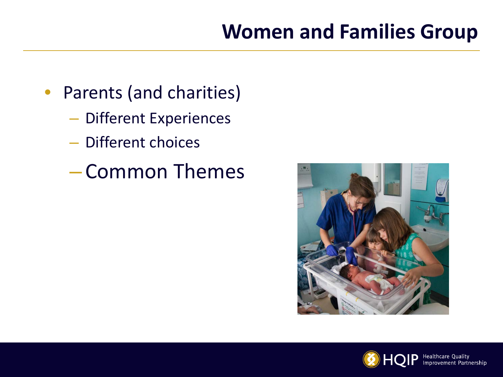### **Women and Families Group**

- Parents (and charities)
	- Different Experiences
	- Different choices
	- Common Themes